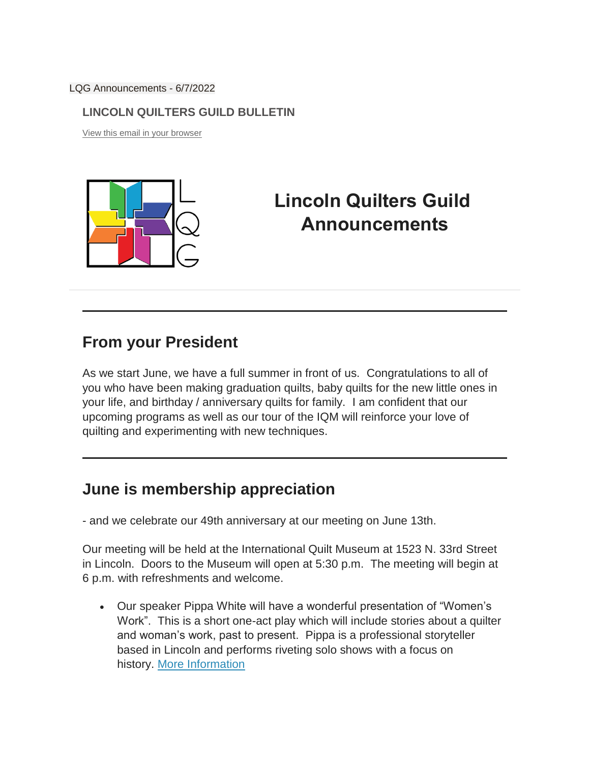LQG Announcements - 6/7/2022

#### **LINCOLN QUILTERS GUILD BULLETIN**

[View this email in your browser](https://us13.campaign-archive.com/?e=%5bUNIQID%5d&u=a00e7655c452b2451a8c09958&id=dd67857711)



# **Lincoln Quilters Guild Announcements**

#### **From your President**

As we start June, we have a full summer in front of us. Congratulations to all of you who have been making graduation quilts, baby quilts for the new little ones in your life, and birthday / anniversary quilts for family. I am confident that our upcoming programs as well as our tour of the IQM will reinforce your love of quilting and experimenting with new techniques.

## **June is membership appreciation**

- and we celebrate our 49th anniversary at our meeting on June 13th.

Our meeting will be held at the International Quilt Museum at 1523 N. 33rd Street in Lincoln. Doors to the Museum will open at 5:30 p.m. The meeting will begin at 6 p.m. with refreshments and welcome.

 Our speaker Pippa White will have a wonderful presentation of "Women's Work". This is a short one-act play which will include stories about a quilter and woman's work, past to present. Pippa is a professional storyteller based in Lincoln and performs riveting solo shows with a focus on history. [More Information](https://lincolnquiltersguild.org/classes/post/?permalink=june-meeting)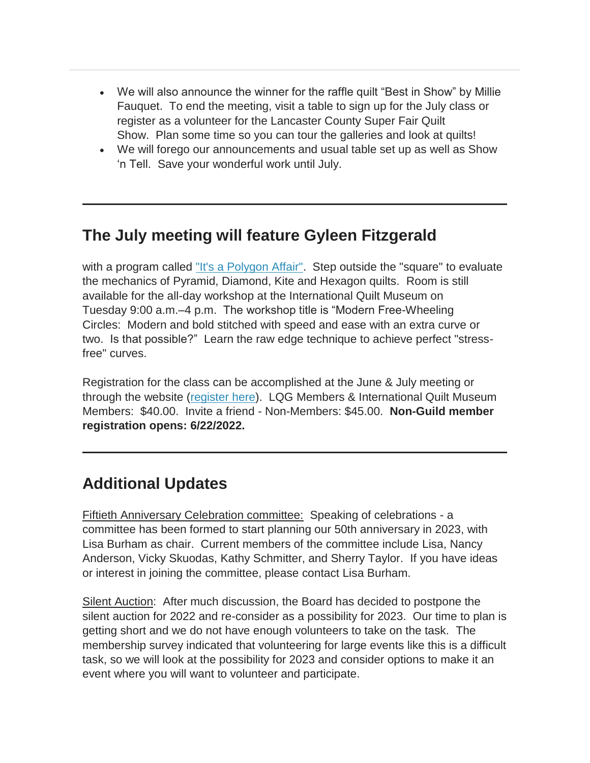- We will also announce the winner for the raffle quilt "Best in Show" by Millie Fauquet. To end the meeting, visit a table to sign up for the July class or register as a volunteer for the Lancaster County Super Fair Quilt Show. Plan some time so you can tour the galleries and look at quilts!
- We will forego our announcements and usual table set up as well as Show 'n Tell. Save your wonderful work until July.

## **The July meeting will feature Gyleen Fitzgerald**

with a program called ["It's a Polygon Affair".](https://lincolnquiltersguild.org/classes/post/?permalink=july-meeting) Step outside the "square" to evaluate the mechanics of Pyramid, Diamond, Kite and Hexagon quilts. Room is still available for the all-day workshop at the International Quilt Museum on Tuesday 9:00 a.m.–4 p.m. The workshop title is "Modern Free-Wheeling Circles: Modern and bold stitched with speed and ease with an extra curve or two. Is that possible?" Learn the raw edge technique to achieve perfect "stressfree" curves.

Registration for the class can be accomplished at the June & July meeting or through the website [\(register here\)](https://lincolnquiltersguild.org/classes/post/?permalink=july-workshop). LQG Members & International Quilt Museum Members: \$40.00. Invite a friend - Non-Members: \$45.00. **Non-Guild member registration opens: 6/22/2022.**

## **Additional Updates**

Fiftieth Anniversary Celebration committee: Speaking of celebrations - a committee has been formed to start planning our 50th anniversary in 2023, with Lisa Burham as chair. Current members of the committee include Lisa, Nancy Anderson, Vicky Skuodas, Kathy Schmitter, and Sherry Taylor. If you have ideas or interest in joining the committee, please contact Lisa Burham.

Silent Auction: After much discussion, the Board has decided to postpone the silent auction for 2022 and re-consider as a possibility for 2023. Our time to plan is getting short and we do not have enough volunteers to take on the task. The membership survey indicated that volunteering for large events like this is a difficult task, so we will look at the possibility for 2023 and consider options to make it an event where you will want to volunteer and participate.